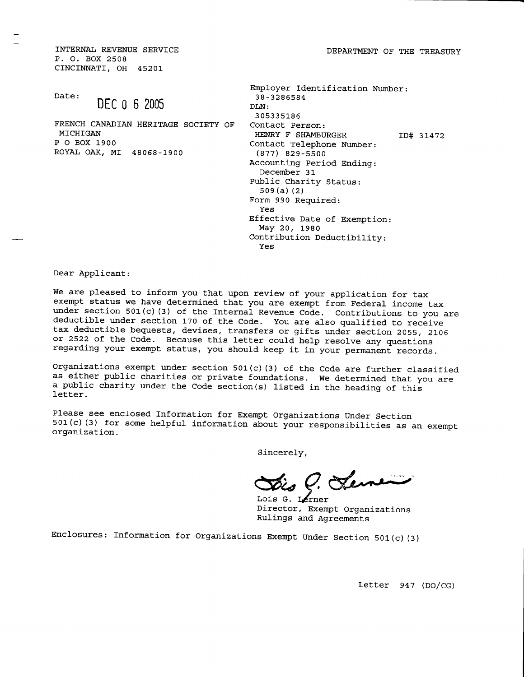DEPARTMENT OF THE TREASURY

INTERNAI, REVENUE SERVICE P. O. BOX 2508 CINCINNATI, OH 45201

Date:

# DEC 0 6 2005

FRENCH CANADIAN HERITAGE SOCTETY OF MICHIGAN P O BOX L900 ROYAL OAK, MI 48068-1900

| Employer Identification Number:<br>38-3286584 |           |
|-----------------------------------------------|-----------|
| DLN:                                          |           |
| 305335186                                     |           |
| Contact Person:                               |           |
| HENRY F SHAMBURGER                            | ID# 31472 |
| Contact Telephone Number:                     |           |
| $(877)$ 829-5500                              |           |
| Accounting Period Ending:                     |           |
| December 31                                   |           |
| Public Charity Status:                        |           |
| 509 (a) (2)                                   |           |
| Form 990 Required:                            |           |
| Yes                                           |           |
| Effective Date of Exemption:                  |           |
| May 20, 1980                                  |           |
| Contribution Deductibility:                   |           |
| Yes                                           |           |

Dear Applicant:

We are pleased to inform you that upon review of your application for tax exempt status we have determined that you are exempt from Federal income tax under section 501(c) (3) of the Internal Revenue Code. Contributions to you are deductible under section 170 of the Code. You are also qualified to receive tax deductible bequests, devises, transfers or gifts under section 2055, 2106 or 2522 of the Code. Because this letter could help resolve any questions regarding your exempt status, you should keep it in your permanent records.

Organizations exempt under section  $501(c)$  (3) of the Code are further classified as either public charities or private foundations. We determined that you are a public charity under the Code section(s) listed in the heading of this letter.

Please see enclosed Information for Exempt Organizations Under Section 501(c)(3) for some helpful information about your responsibilities as an exempt organization.

Sincerely,

7. Jenne

Lois G. Lerner Director, Exempt Organizations Rullngs and Agreements

Enclosures: Information for Organizations Exempt Under Section 501(c)(3)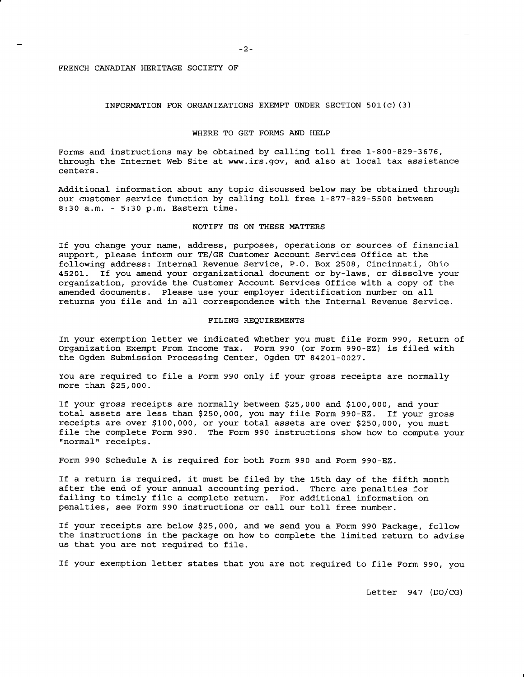# INFORMATION FOR ORGANIZATIONS EXEMPT UNDER SECTION 501(c)(3)

# WHERE TO GET FORMS AND HELP

Forms and instructions may be obtained by calling toll free 1-800-829-3676, through the Internet web Site at www.irs.gov, and aLso at local tax assistance centers.

Additional information about any topic discussed below may be obtained through our customer service function by calling toll free 1-877-829-5500 between 8:30 a.m. - 5:30 p.m. Eastern time.

# NOTIFY US ON THESE MATTERS

If you change your name, address, purposes, operations or sources of financial support, please inform our TE/GE Customer Account Services Office at the following address: Internal Revenue Service, P.O. Box 2508, Cincinnati, Ohio 45201. If you amend your organizational document or by-laws, or dissolve your organization, provide the Customer Account Services Office with a copy of the amended documents. Please use your employer identification number on all returns you file and in all correspondence with the Internal Revenue Service.

## FILING REQUIREMENTS

In your exemption letter we indicated whether you must file Form 990, Return of Organization Exempt From Income Tax. Form 990 (or Form 990-EZ) is filed with the Ogden Submission Processing Center, Ogden UT 84201-0027.

You are required to file a Form 990 only if your gross receipts are normally more than \$25,000.

If your gross receipts are normally between \$25,000 and \$L00,000, and your total assets are Less than \$250,000, you may fiLe Form 990-Ez. If your gross receipts are over \$100,000, or your total assets are over \$250,000, you must file the complete Form 990. The Form 990 instructions show how to compute your "normal" receipts.

Form 990 Schedule A is required for both Form 990 and Form 990-EZ.

If a return is required, it must be filed by the 15th day of the fifth month after the end of your annual accounting period. There are penalties for failing to timely file a complete return. For additional information on penalties, see Form 990 instructions or call our toll free number.

If your receipts are below  $$25,000$ , and we send you a Form 990 Package, follow the instructions in the package on how to complete the limited return to advise us that you are not required to file.

If your exemption letter states that you are not required to file Form 990, you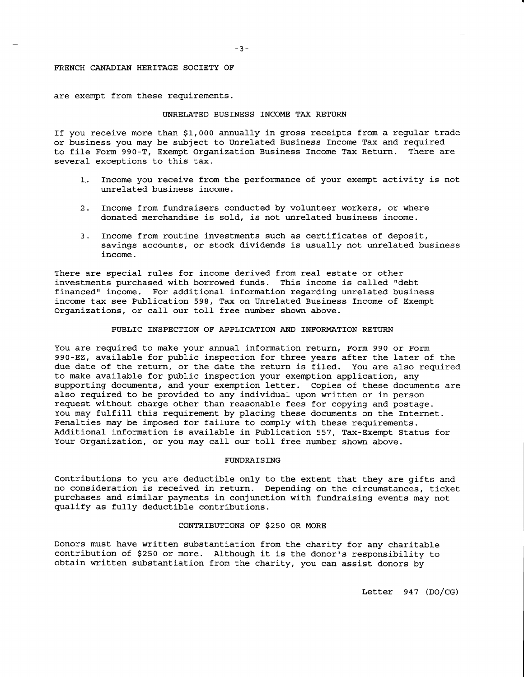are exempt from these reguirements.

## UNRELATED BUSINESS INCOME TAX RETURN

If you receive more than \$1,000 annually in gross receipts from a regular trade or business you may be subject to Unrelated Business Income Tax and reguired to file Form 990-T, Exempt Organization Business Income Tax Return. There are several exceptions to this tax.

- 1. Income you receive from the performance of your exempt activity is not unrelated business income.
- 2. Income from fundraisers conducted by volunteer workers, or where donated merchandise is sold, is not unrelated business income.
- 3. Income from routine investments such as certificates of deposit, savings accounts, or stock dividends is usually not unrelated business income.

There are special rules for income derived from real estate or other investments purchased with borrowed funds. This income is called "debt financed" income. For additional information regarding unrelated business income tax see Publication 598, Tax on Unrelated Business Income of Exempt Organizations, or call our toll free number shown above.

# PUBLIC INSPECTION OF APPLICATION AND INFORMATION RETURN

You are required to make your annual information return, Form 990 or Form 990-EZ, available for public inspection for three years after the later of the due date of the return, or the date the return is filed. You are also reguired to make available for public inspection your exemption application, any supporting documents, and your exemption letter. Copies of these documents are also required to be provided to any individual upon written or in person request without charge other than reasonable fees for copying and postage. You may fulfill Lhis reguirement by placing these documents on the fnternet. Penalties may be imposed for failure to comply with these requirements. Additional information is available in Publication 557, Tax-Exempt Status for Your Organization, or you may call our toll free number shown above.

# FI'NDRAISING

Contributions to you are deductible only to the extent that they are gifts and no consideration is received in return. Depending on the circumstances, tick purchases and similar payments in conjunction with fundraising events may not qualify as fulIy deductible contributions.

#### CONTRIBUTIONS OF S25O OR MORE

Donors must have written substantiation from the charity for any charitable contribution of \$250 or more. Although it is the donor's responsibility to obtain written substantiation from the charity, you can assist donors by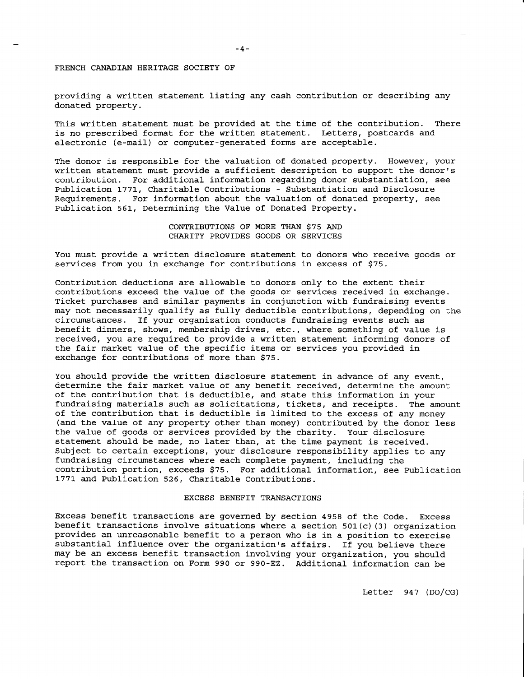providing a written statement listing any cash contribution or describing any donated property.

This written statement must be provided at the time of the contribution. There is no prescribed format for the written statement. Letters, postcards and electronic (e-mail) or computer-generated forms are acceptable.

The donor is responsible for the valuation of donated property. However, your written statement must provide a sufficient description to support the donor's contribution. For additional information regarding donor substantiation, see Publication t77L, Charitable Contributions - Substantiation and Disclosure Requirements. For information about the valuation of donated property, see Publication 561, Determining the Value of Donated Property.

# CONTRIBUTIONS OF MORE THAN \$75 AND CHARITY PROVIDES GOODS OR SERVICES

You must provide a written disclosure statement to donors who receive goods or services from you in exchange for contributions in excess of \$75.

Contribution deductions are allowable to donors only to the extent their contributions exceed the value of the goods or services received in exchange. Ticket purchases and similar payments in conjunction with fundraising events may not necessarily gualify as fu1ly deductible contributions, depending on the circumstances. If your organization conducts fundraising events such as benefit dinners, shows, membership drives, etc., where something of value is received, you are required to provide a written statement informing donors of the fair market value of the specific items or services you provided in exchange for contributions of more than \$75.

You should provide the written disclosure statement in advance of any event, determine the fair market value of any benefit received, determine the amount of the contribution that is deductible, and state this information in your fundraising materials such as solicitations, tickets, and receipts. The amount of the contribution that is deductible is Limited to the excess of any money (and the value of any property other than money) contributed by the donor less the value of goods or services provided by the charity. Your disclosure statement should be made, no later than, at the time payment is received. Subject to certain exceptions, your disclosure responsibility applies to any fundraising circumstances where each complete payment, including the contribution portion, exceeds \$75. For additional information, see Publication 1771 and Publication 526, Charitable Contributions.

#### EXCESS BENEFIT TRANSACTIONS

Excess benefit transactions are governed by section 4958 of the Code. Excess benefit transactions involve situations where a section  $501(c)$  (3) organization provides an unreasonable benefit to a person who is in a position to exercise substantial influence over the organization's affairs. If you believe there may be an excess benefit transaction involving your organization, you should report. the transaction on Form 990 or 990-EZ. Additional information can be

Letter 947 (DO/CG)

-4-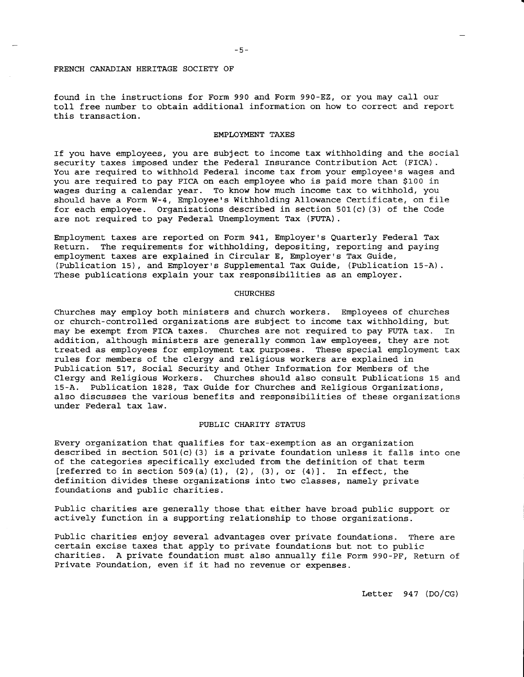found in the instructions for Form 990 and Form 990-Ez, or you may call our toll free number to obtain additional information on how to correct and report this transaction.

# EMPLOYMENT TAXES

If you have employees, you are subject to income tax withholding and the social security taxes imposed under the Federal Insurance Contribution Act (FICA). You are reguired to withhold Federal income tax fromyour employee's wages and you are required to pay FICA on each employee who is paid more than \$100 in wages during a calendar year. To know how much income tax to withhold, you should have a Form W-4, Employee's Withholding Allowance Certificate, on file for each employee. organizations described in section 501(c) (3) of the Code are not reguired to pay Federal Unemployment Tax (FUTA).

Employment taxes are reported on Form 941, Employer's Quarterly Federal- Tax Return. The requirements for withholding, depositing, reporting and paying employment taxes are explained in Circular E, Employer's Tax Guide, (Publication 15), and Employer's Supplemental Tax Guide, (Publication 15-A). These publications explain your tax responsibilities as an employer.

#### **CHURCHES**

Churches may employ both ministers and church workers. employees of churches or church-controlled organizations are subject to income tax withholding, but may be exempt from FICA taxes. Churches are not reguired to pay FUTA tax. In addition, although ministers are generally common law employees, they are not treated as employees for employment tax purposes. These special employment tax rules for members of the clergy and religious workers are explained in Publication 517, Social Security and Other Information for Members of the Clergy and Religious Workers. Churches should also consult Publications 15 and 15-A. Publication 1828, Tax Guide for Churches and Religious Organizations, also discusses the various benefits and responsibilities of these organizations under Federal tax Iaw.

## PUBIJIC CHARITY STATUS

Every organization that qualifies for tax-exemption as an organization described in section 501(c)(3) is a private foundation unless it falls into one of the categories specifically excluded from the definition of that term [referred to in section 509(a)(1), (2), (3), or  $(4)$ ]. In effect, the definition divides these organizations into two classes, namely private foundations and public charities.

Public charities are generally those that either have broad public support or actively function in a supporting relationship to those organizations.

Public charities enjoy several advantages over private foundations. There are certain excise taxes that apply to private foundations but not to public charities. A private foundation must also annually file Form 990-PF, Return of Private Foundation, even if it had no revenue or expenses.